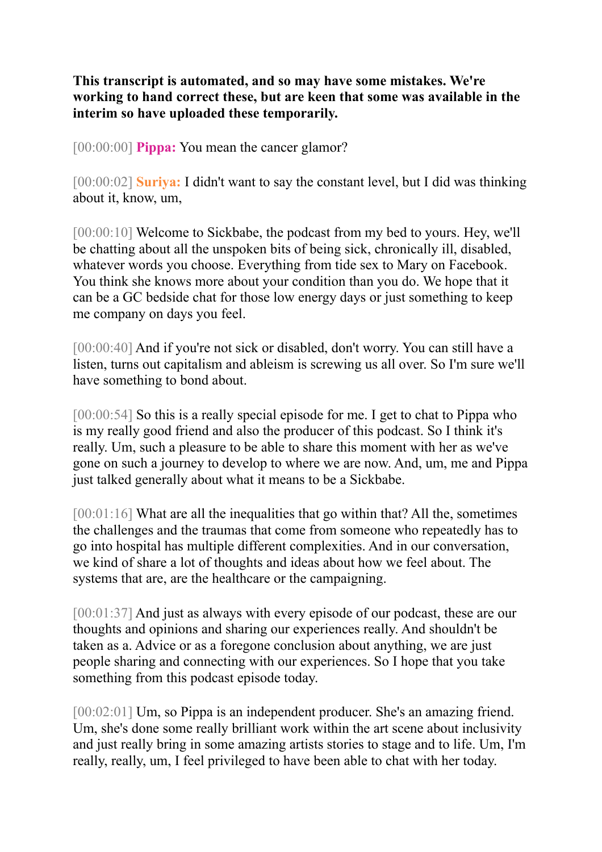## **This transcript is automated, and so may have some mistakes. We're working to hand correct these, but are keen that some was available in the interim so have uploaded these temporarily.**

[00:00:00] **Pippa:** You mean the cancer glamor?

[00:00:02] **Suriya:** I didn't want to say the constant level, but I did was thinking about it, know, um,

[00:00:10] Welcome to Sickbabe, the podcast from my bed to yours. Hey, we'll be chatting about all the unspoken bits of being sick, chronically ill, disabled, whatever words you choose. Everything from tide sex to Mary on Facebook. You think she knows more about your condition than you do. We hope that it can be a GC bedside chat for those low energy days or just something to keep me company on days you feel.

[00:00:40] And if you're not sick or disabled, don't worry. You can still have a listen, turns out capitalism and ableism is screwing us all over. So I'm sure we'll have something to bond about.

[00:00:54] So this is a really special episode for me. I get to chat to Pippa who is my really good friend and also the producer of this podcast. So I think it's really. Um, such a pleasure to be able to share this moment with her as we've gone on such a journey to develop to where we are now. And, um, me and Pippa just talked generally about what it means to be a Sickbabe.

[00:01:16] What are all the inequalities that go within that? All the, sometimes the challenges and the traumas that come from someone who repeatedly has to go into hospital has multiple different complexities. And in our conversation, we kind of share a lot of thoughts and ideas about how we feel about. The systems that are, are the healthcare or the campaigning.

[00:01:37] And just as always with every episode of our podcast, these are our thoughts and opinions and sharing our experiences really. And shouldn't be taken as a. Advice or as a foregone conclusion about anything, we are just people sharing and connecting with our experiences. So I hope that you take something from this podcast episode today.

[00:02:01] Um, so Pippa is an independent producer. She's an amazing friend. Um, she's done some really brilliant work within the art scene about inclusivity and just really bring in some amazing artists stories to stage and to life. Um, I'm really, really, um, I feel privileged to have been able to chat with her today.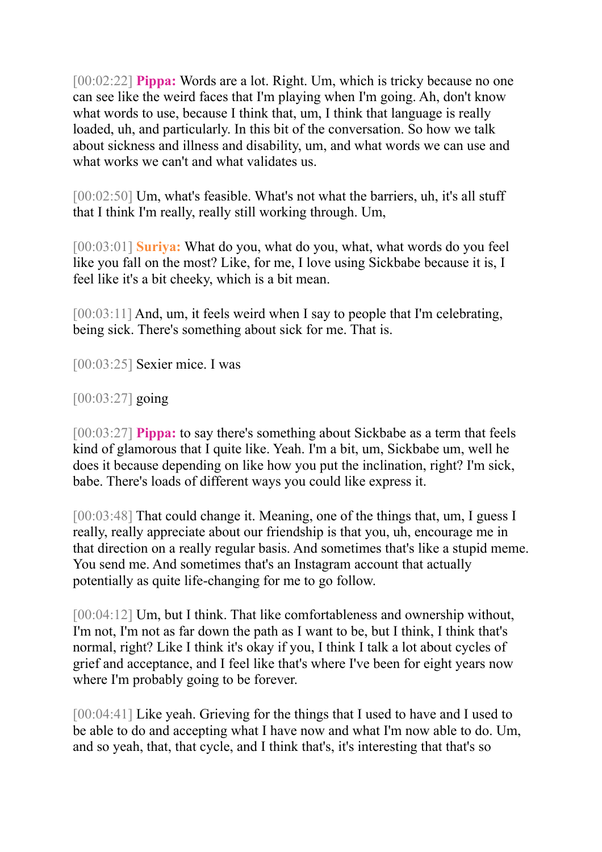[00:02:22] **Pippa:** Words are a lot. Right. Um, which is tricky because no one can see like the weird faces that I'm playing when I'm going. Ah, don't know what words to use, because I think that, um, I think that language is really loaded, uh, and particularly. In this bit of the conversation. So how we talk about sickness and illness and disability, um, and what words we can use and what works we can't and what validates us.

[00:02:50] Um, what's feasible. What's not what the barriers, uh, it's all stuff that I think I'm really, really still working through. Um,

[00:03:01] **Suriya:** What do you, what do you, what, what words do you feel like you fall on the most? Like, for me, I love using Sickbabe because it is, I feel like it's a bit cheeky, which is a bit mean.

[00:03:11] And, um, it feels weird when I say to people that I'm celebrating, being sick. There's something about sick for me. That is.

[00:03:25] Sexier mice. I was

[00:03:27] going

[00:03:27] **Pippa:** to say there's something about Sickbabe as a term that feels kind of glamorous that I quite like. Yeah. I'm a bit, um, Sickbabe um, well he does it because depending on like how you put the inclination, right? I'm sick, babe. There's loads of different ways you could like express it.

[00:03:48] That could change it. Meaning, one of the things that, um, I guess I really, really appreciate about our friendship is that you, uh, encourage me in that direction on a really regular basis. And sometimes that's like a stupid meme. You send me. And sometimes that's an Instagram account that actually potentially as quite life-changing for me to go follow.

[00:04:12] Um, but I think. That like comfortableness and ownership without, I'm not, I'm not as far down the path as I want to be, but I think, I think that's normal, right? Like I think it's okay if you, I think I talk a lot about cycles of grief and acceptance, and I feel like that's where I've been for eight years now where I'm probably going to be forever.

[00:04:41] Like yeah. Grieving for the things that I used to have and I used to be able to do and accepting what I have now and what I'm now able to do. Um, and so yeah, that, that cycle, and I think that's, it's interesting that that's so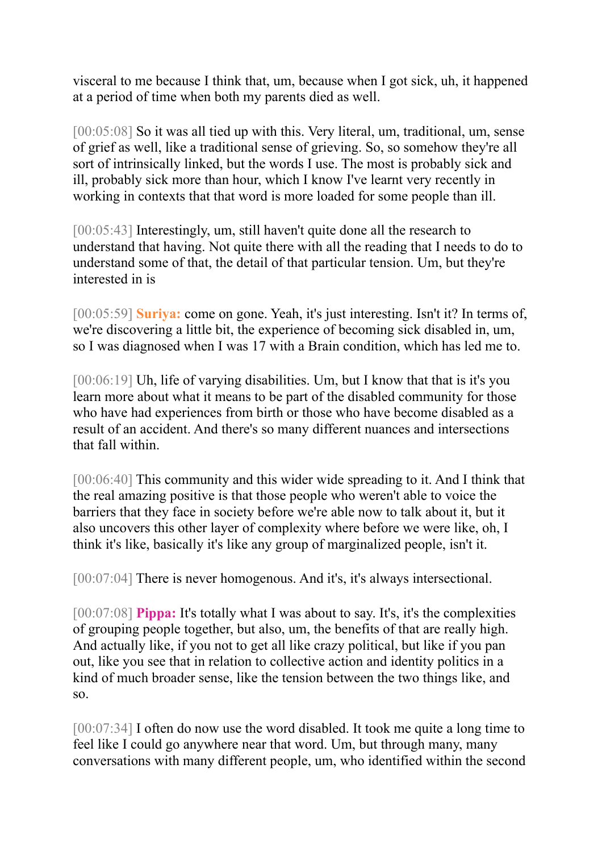visceral to me because I think that, um, because when I got sick, uh, it happened at a period of time when both my parents died as well.

[00:05:08] So it was all tied up with this. Very literal, um, traditional, um, sense of grief as well, like a traditional sense of grieving. So, so somehow they're all sort of intrinsically linked, but the words I use. The most is probably sick and ill, probably sick more than hour, which I know I've learnt very recently in working in contexts that that word is more loaded for some people than ill.

[00:05:43] Interestingly, um, still haven't quite done all the research to understand that having. Not quite there with all the reading that I needs to do to understand some of that, the detail of that particular tension. Um, but they're interested in is

[00:05:59] **Suriya:** come on gone. Yeah, it's just interesting. Isn't it? In terms of, we're discovering a little bit, the experience of becoming sick disabled in, um, so I was diagnosed when I was 17 with a Brain condition, which has led me to.

[00:06:19] Uh, life of varying disabilities. Um, but I know that that is it's you learn more about what it means to be part of the disabled community for those who have had experiences from birth or those who have become disabled as a result of an accident. And there's so many different nuances and intersections that fall within.

[00:06:40] This community and this wider wide spreading to it. And I think that the real amazing positive is that those people who weren't able to voice the barriers that they face in society before we're able now to talk about it, but it also uncovers this other layer of complexity where before we were like, oh, I think it's like, basically it's like any group of marginalized people, isn't it.

[00:07:04] There is never homogenous. And it's, it's always intersectional.

[00:07:08] **Pippa:** It's totally what I was about to say. It's, it's the complexities of grouping people together, but also, um, the benefits of that are really high. And actually like, if you not to get all like crazy political, but like if you pan out, like you see that in relation to collective action and identity politics in a kind of much broader sense, like the tension between the two things like, and so.

[00:07:34] I often do now use the word disabled. It took me quite a long time to feel like I could go anywhere near that word. Um, but through many, many conversations with many different people, um, who identified within the second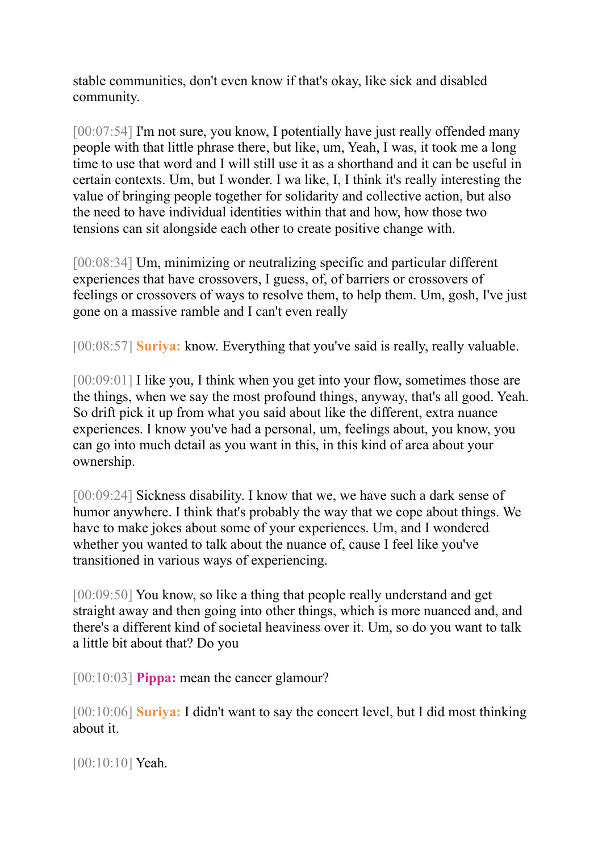stable communities, don't even know if that's okay, like sick and disabled community.

[00:07:54] I'm not sure, you know, I potentially have just really offended many people with that little phrase there, but like, um, Yeah, I was, it took me a long time to use that word and I will still use it as a shorthand and it can be useful in certain contexts. Um, but I wonder. I wa like, I, I think it's really interesting the value of bringing people together for solidarity and collective action, but also the need to have individual identities within that and how, how those two tensions can sit alongside each other to create positive change with.

[00:08:34] Um, minimizing or neutralizing specific and particular different experiences that have crossovers, I guess, of, of barriers or crossovers of feelings or crossovers of ways to resolve them, to help them. Um, gosh, I've just gone on a massive ramble and I can't even really

[00:08:57] **Suriya:** know. Everything that you've said is really, really valuable.

[00:09:01] I like you, I think when you get into your flow, sometimes those are the things, when we say the most profound things, anyway, that's all good. Yeah. So drift pick it up from what you said about like the different, extra nuance experiences. I know you've had a personal, um, feelings about, you know, you can go into much detail as you want in this, in this kind of area about your ownership.

[00:09:24] Sickness disability. I know that we, we have such a dark sense of humor anywhere. I think that's probably the way that we cope about things. We have to make jokes about some of your experiences. Um, and I wondered whether you wanted to talk about the nuance of, cause I feel like you've transitioned in various ways of experiencing.

[00:09:50] You know, so like a thing that people really understand and get straight away and then going into other things, which is more nuanced and, and there's a different kind of societal heaviness over it. Um, so do you want to talk a little bit about that? Do you

[00:10:03] **Pippa:** mean the cancer glamour?

[00:10:06] **Suriya:** I didn't want to say the concert level, but I did most thinking about it.

[00:10:10] **Yeah.**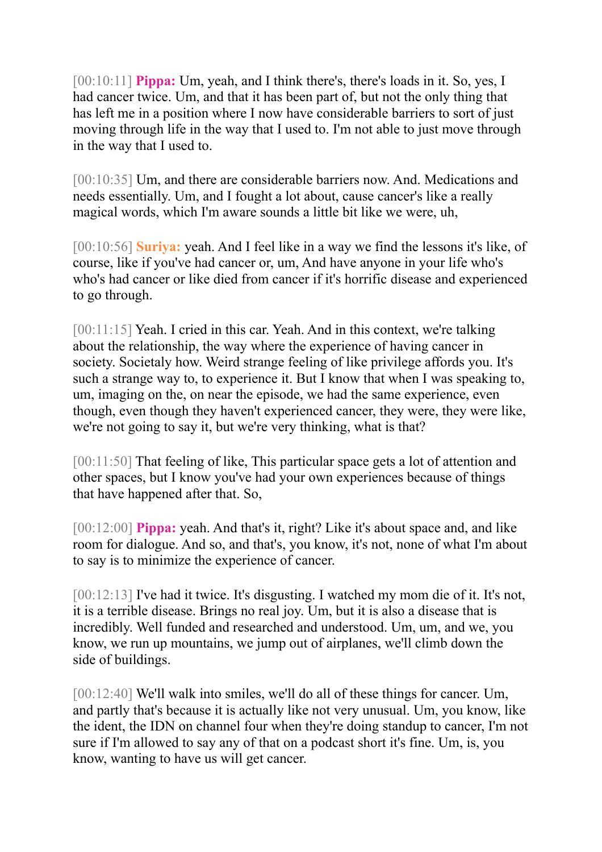[00:10:11] **Pippa:** Um, yeah, and I think there's, there's loads in it. So, yes, I had cancer twice. Um, and that it has been part of, but not the only thing that has left me in a position where I now have considerable barriers to sort of just moving through life in the way that I used to. I'm not able to just move through in the way that I used to.

[00:10:35] Um, and there are considerable barriers now. And. Medications and needs essentially. Um, and I fought a lot about, cause cancer's like a really magical words, which I'm aware sounds a little bit like we were, uh,

[00:10:56] **Suriya:** yeah. And I feel like in a way we find the lessons it's like, of course, like if you've had cancer or, um, And have anyone in your life who's who's had cancer or like died from cancer if it's horrific disease and experienced to go through.

[00:11:15] Yeah. I cried in this car. Yeah. And in this context, we're talking about the relationship, the way where the experience of having cancer in society. Societaly how. Weird strange feeling of like privilege affords you. It's such a strange way to, to experience it. But I know that when I was speaking to, um, imaging on the, on near the episode, we had the same experience, even though, even though they haven't experienced cancer, they were, they were like, we're not going to say it, but we're very thinking, what is that?

[00:11:50] That feeling of like, This particular space gets a lot of attention and other spaces, but I know you've had your own experiences because of things that have happened after that. So,

[00:12:00] **Pippa:** yeah. And that's it, right? Like it's about space and, and like room for dialogue. And so, and that's, you know, it's not, none of what I'm about to say is to minimize the experience of cancer.

[00:12:13] I've had it twice. It's disgusting. I watched my mom die of it. It's not, it is a terrible disease. Brings no real joy. Um, but it is also a disease that is incredibly. Well funded and researched and understood. Um, um, and we, you know, we run up mountains, we jump out of airplanes, we'll climb down the side of buildings.

[00:12:40] We'll walk into smiles, we'll do all of these things for cancer. Um, and partly that's because it is actually like not very unusual. Um, you know, like the ident, the IDN on channel four when they're doing standup to cancer, I'm not sure if I'm allowed to say any of that on a podcast short it's fine. Um, is, you know, wanting to have us will get cancer.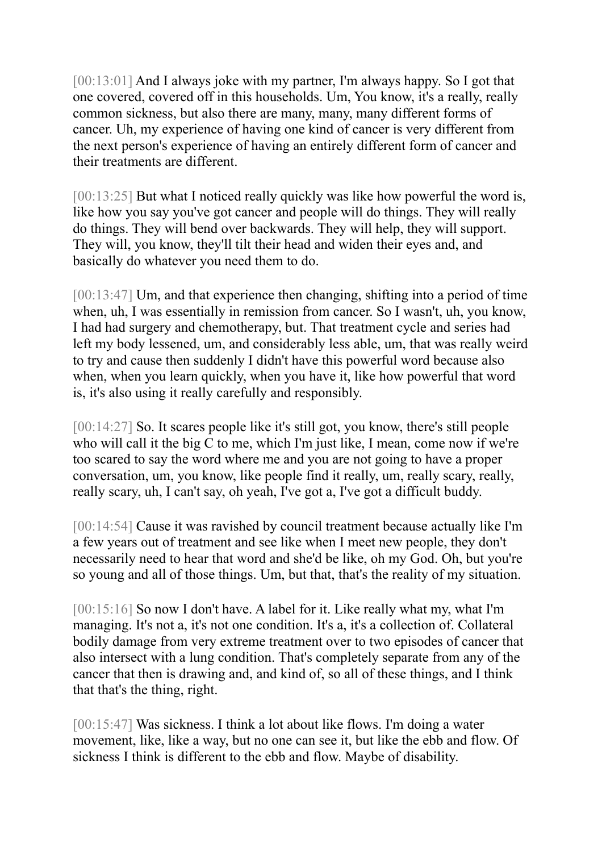[00:13:01] And I always joke with my partner, I'm always happy. So I got that one covered, covered off in this households. Um, You know, it's a really, really common sickness, but also there are many, many, many different forms of cancer. Uh, my experience of having one kind of cancer is very different from the next person's experience of having an entirely different form of cancer and their treatments are different.

[00:13:25] But what I noticed really quickly was like how powerful the word is, like how you say you've got cancer and people will do things. They will really do things. They will bend over backwards. They will help, they will support. They will, you know, they'll tilt their head and widen their eyes and, and basically do whatever you need them to do.

[00:13:47] Um, and that experience then changing, shifting into a period of time when, uh, I was essentially in remission from cancer. So I wasn't, uh, you know, I had had surgery and chemotherapy, but. That treatment cycle and series had left my body lessened, um, and considerably less able, um, that was really weird to try and cause then suddenly I didn't have this powerful word because also when, when you learn quickly, when you have it, like how powerful that word is, it's also using it really carefully and responsibly.

[00:14:27] So. It scares people like it's still got, you know, there's still people who will call it the big C to me, which I'm just like, I mean, come now if we're too scared to say the word where me and you are not going to have a proper conversation, um, you know, like people find it really, um, really scary, really, really scary, uh, I can't say, oh yeah, I've got a, I've got a difficult buddy.

[00:14:54] Cause it was ravished by council treatment because actually like I'm a few years out of treatment and see like when I meet new people, they don't necessarily need to hear that word and she'd be like, oh my God. Oh, but you're so young and all of those things. Um, but that, that's the reality of my situation.

[00:15:16] So now I don't have. A label for it. Like really what my, what I'm managing. It's not a, it's not one condition. It's a, it's a collection of. Collateral bodily damage from very extreme treatment over to two episodes of cancer that also intersect with a lung condition. That's completely separate from any of the cancer that then is drawing and, and kind of, so all of these things, and I think that that's the thing, right.

[00:15:47] Was sickness. I think a lot about like flows. I'm doing a water movement, like, like a way, but no one can see it, but like the ebb and flow. Of sickness I think is different to the ebb and flow. Maybe of disability.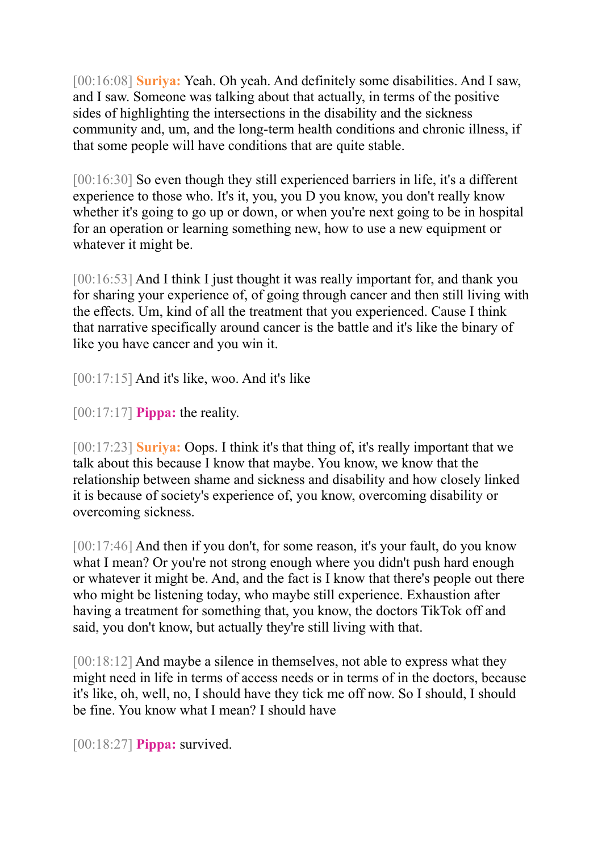[00:16:08] **Suriya:** Yeah. Oh yeah. And definitely some disabilities. And I saw, and I saw. Someone was talking about that actually, in terms of the positive sides of highlighting the intersections in the disability and the sickness community and, um, and the long-term health conditions and chronic illness, if that some people will have conditions that are quite stable.

[00:16:30] So even though they still experienced barriers in life, it's a different experience to those who. It's it, you, you D you know, you don't really know whether it's going to go up or down, or when you're next going to be in hospital for an operation or learning something new, how to use a new equipment or whatever it might be.

[00:16:53] And I think I just thought it was really important for, and thank you for sharing your experience of, of going through cancer and then still living with the effects. Um, kind of all the treatment that you experienced. Cause I think that narrative specifically around cancer is the battle and it's like the binary of like you have cancer and you win it.

 $[00:17:15]$  And it's like, woo. And it's like

[00:17:17] **Pippa:** the reality.

[00:17:23] **Suriya:** Oops. I think it's that thing of, it's really important that we talk about this because I know that maybe. You know, we know that the relationship between shame and sickness and disability and how closely linked it is because of society's experience of, you know, overcoming disability or overcoming sickness.

[00:17:46] And then if you don't, for some reason, it's your fault, do you know what I mean? Or you're not strong enough where you didn't push hard enough or whatever it might be. And, and the fact is I know that there's people out there who might be listening today, who maybe still experience. Exhaustion after having a treatment for something that, you know, the doctors TikTok off and said, you don't know, but actually they're still living with that.

[00:18:12] And maybe a silence in themselves, not able to express what they might need in life in terms of access needs or in terms of in the doctors, because it's like, oh, well, no, I should have they tick me off now. So I should, I should be fine. You know what I mean? I should have

[00:18:27] **Pippa:** survived.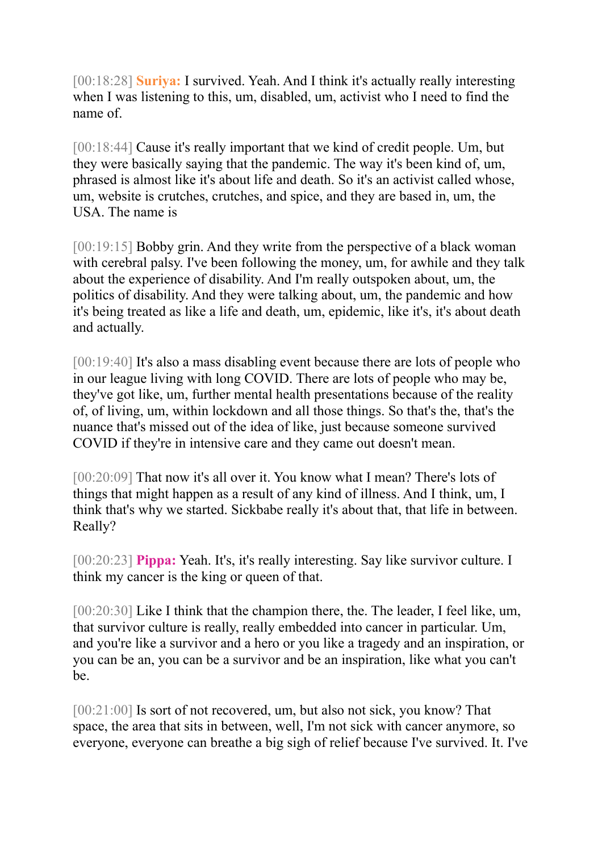[00:18:28] **Suriya:** I survived. Yeah. And I think it's actually really interesting when I was listening to this, um, disabled, um, activist who I need to find the name of.

[00:18:44] Cause it's really important that we kind of credit people. Um, but they were basically saying that the pandemic. The way it's been kind of, um, phrased is almost like it's about life and death. So it's an activist called whose, um, website is crutches, crutches, and spice, and they are based in, um, the USA. The name is

[00:19:15] Bobby grin. And they write from the perspective of a black woman with cerebral palsy. I've been following the money, um, for awhile and they talk about the experience of disability. And I'm really outspoken about, um, the politics of disability. And they were talking about, um, the pandemic and how it's being treated as like a life and death, um, epidemic, like it's, it's about death and actually.

[00:19:40] It's also a mass disabling event because there are lots of people who in our league living with long COVID. There are lots of people who may be, they've got like, um, further mental health presentations because of the reality of, of living, um, within lockdown and all those things. So that's the, that's the nuance that's missed out of the idea of like, just because someone survived COVID if they're in intensive care and they came out doesn't mean.

[00:20:09] That now it's all over it. You know what I mean? There's lots of things that might happen as a result of any kind of illness. And I think, um, I think that's why we started. Sickbabe really it's about that, that life in between. Really?

[00:20:23] **Pippa:** Yeah. It's, it's really interesting. Say like survivor culture. I think my cancer is the king or queen of that.

[00:20:30] Like I think that the champion there, the. The leader, I feel like, um, that survivor culture is really, really embedded into cancer in particular. Um, and you're like a survivor and a hero or you like a tragedy and an inspiration, or you can be an, you can be a survivor and be an inspiration, like what you can't be.

[00:21:00] Is sort of not recovered, um, but also not sick, you know? That space, the area that sits in between, well, I'm not sick with cancer anymore, so everyone, everyone can breathe a big sigh of relief because I've survived. It. I've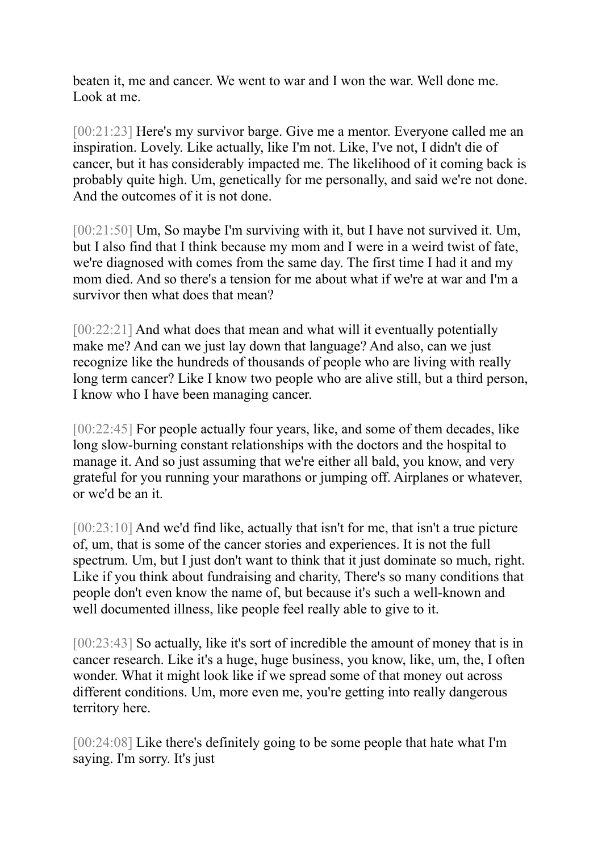beaten it, me and cancer. We went to war and I won the war. Well done me. Look at me.

[00:21:23] Here's my survivor barge. Give me a mentor. Everyone called me an inspiration. Lovely. Like actually, like I'm not. Like, I've not, I didn't die of cancer, but it has considerably impacted me. The likelihood of it coming back is probably quite high. Um, genetically for me personally, and said we're not done. And the outcomes of it is not done.

[00:21:50] Um, So maybe I'm surviving with it, but I have not survived it. Um, but I also find that I think because my mom and I were in a weird twist of fate, we're diagnosed with comes from the same day. The first time I had it and my mom died. And so there's a tension for me about what if we're at war and I'm a survivor then what does that mean?

[00:22:21] And what does that mean and what will it eventually potentially make me? And can we just lay down that language? And also, can we just recognize like the hundreds of thousands of people who are living with really long term cancer? Like I know two people who are alive still, but a third person, I know who I have been managing cancer.

[00:22:45] For people actually four years, like, and some of them decades, like long slow-burning constant relationships with the doctors and the hospital to manage it. And so just assuming that we're either all bald, you know, and very grateful for you running your marathons or jumping off. Airplanes or whatever, or we'd be an it.

[00:23:10] And we'd find like, actually that isn't for me, that isn't a true picture of, um, that is some of the cancer stories and experiences. It is not the full spectrum. Um, but I just don't want to think that it just dominate so much, right. Like if you think about fundraising and charity, There's so many conditions that people don't even know the name of, but because it's such a well-known and well documented illness, like people feel really able to give to it.

[00:23:43] So actually, like it's sort of incredible the amount of money that is in cancer research. Like it's a huge, huge business, you know, like, um, the, I often wonder. What it might look like if we spread some of that money out across different conditions. Um, more even me, you're getting into really dangerous territory here.

[00:24:08] Like there's definitely going to be some people that hate what I'm saying. I'm sorry. It's just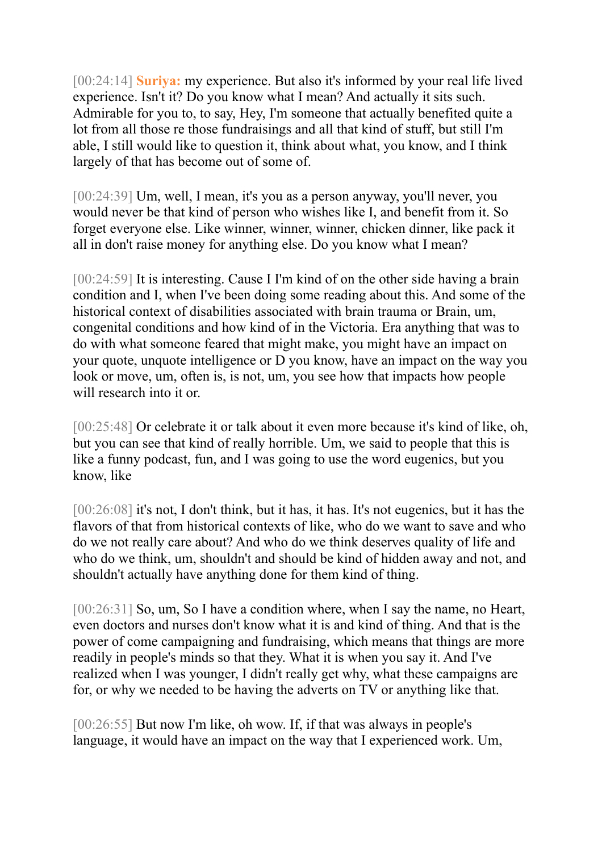[00:24:14] **Suriya:** my experience. But also it's informed by your real life lived experience. Isn't it? Do you know what I mean? And actually it sits such. Admirable for you to, to say, Hey, I'm someone that actually benefited quite a lot from all those re those fundraisings and all that kind of stuff, but still I'm able, I still would like to question it, think about what, you know, and I think largely of that has become out of some of.

[00:24:39] Um, well, I mean, it's you as a person anyway, you'll never, you would never be that kind of person who wishes like I, and benefit from it. So forget everyone else. Like winner, winner, winner, chicken dinner, like pack it all in don't raise money for anything else. Do you know what I mean?

[00:24:59] It is interesting. Cause I I'm kind of on the other side having a brain condition and I, when I've been doing some reading about this. And some of the historical context of disabilities associated with brain trauma or Brain, um, congenital conditions and how kind of in the Victoria. Era anything that was to do with what someone feared that might make, you might have an impact on your quote, unquote intelligence or D you know, have an impact on the way you look or move, um, often is, is not, um, you see how that impacts how people will research into it or.

[00:25:48] Or celebrate it or talk about it even more because it's kind of like, oh, but you can see that kind of really horrible. Um, we said to people that this is like a funny podcast, fun, and I was going to use the word eugenics, but you know, like

[00:26:08] it's not, I don't think, but it has, it has. It's not eugenics, but it has the flavors of that from historical contexts of like, who do we want to save and who do we not really care about? And who do we think deserves quality of life and who do we think, um, shouldn't and should be kind of hidden away and not, and shouldn't actually have anything done for them kind of thing.

[00:26:31] So, um, So I have a condition where, when I say the name, no Heart, even doctors and nurses don't know what it is and kind of thing. And that is the power of come campaigning and fundraising, which means that things are more readily in people's minds so that they. What it is when you say it. And I've realized when I was younger, I didn't really get why, what these campaigns are for, or why we needed to be having the adverts on TV or anything like that.

[00:26:55] But now I'm like, oh wow. If, if that was always in people's language, it would have an impact on the way that I experienced work. Um,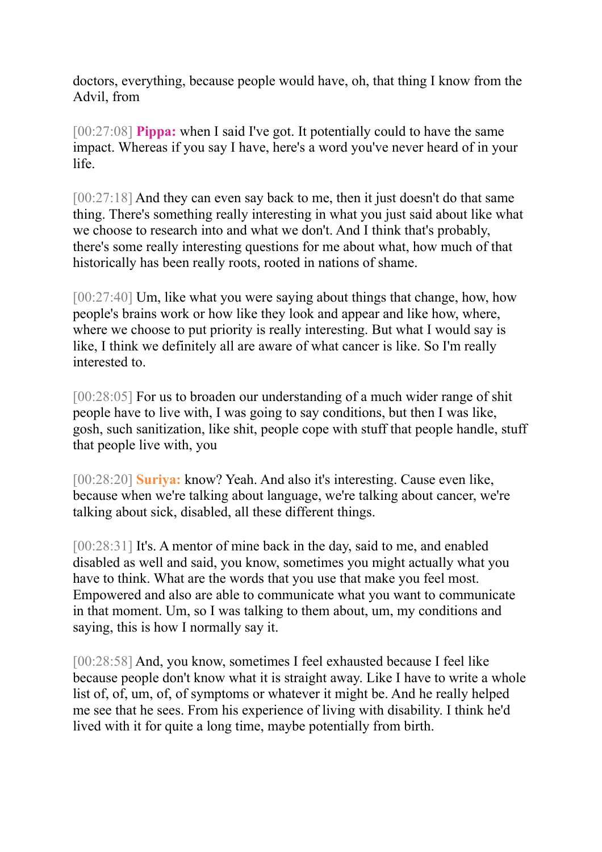doctors, everything, because people would have, oh, that thing I know from the Advil, from

[00:27:08] **Pippa:** when I said I've got. It potentially could to have the same impact. Whereas if you say I have, here's a word you've never heard of in your life.

[00:27:18] And they can even say back to me, then it just doesn't do that same thing. There's something really interesting in what you just said about like what we choose to research into and what we don't. And I think that's probably, there's some really interesting questions for me about what, how much of that historically has been really roots, rooted in nations of shame.

[00:27:40] Um, like what you were saying about things that change, how, how people's brains work or how like they look and appear and like how, where, where we choose to put priority is really interesting. But what I would say is like, I think we definitely all are aware of what cancer is like. So I'm really interested to.

[00:28:05] For us to broaden our understanding of a much wider range of shit people have to live with, I was going to say conditions, but then I was like, gosh, such sanitization, like shit, people cope with stuff that people handle, stuff that people live with, you

[00:28:20] **Suriya:** know? Yeah. And also it's interesting. Cause even like, because when we're talking about language, we're talking about cancer, we're talking about sick, disabled, all these different things.

[00:28:31] It's. A mentor of mine back in the day, said to me, and enabled disabled as well and said, you know, sometimes you might actually what you have to think. What are the words that you use that make you feel most. Empowered and also are able to communicate what you want to communicate in that moment. Um, so I was talking to them about, um, my conditions and saying, this is how I normally say it.

[00:28:58] And, you know, sometimes I feel exhausted because I feel like because people don't know what it is straight away. Like I have to write a whole list of, of, um, of, of symptoms or whatever it might be. And he really helped me see that he sees. From his experience of living with disability. I think he'd lived with it for quite a long time, maybe potentially from birth.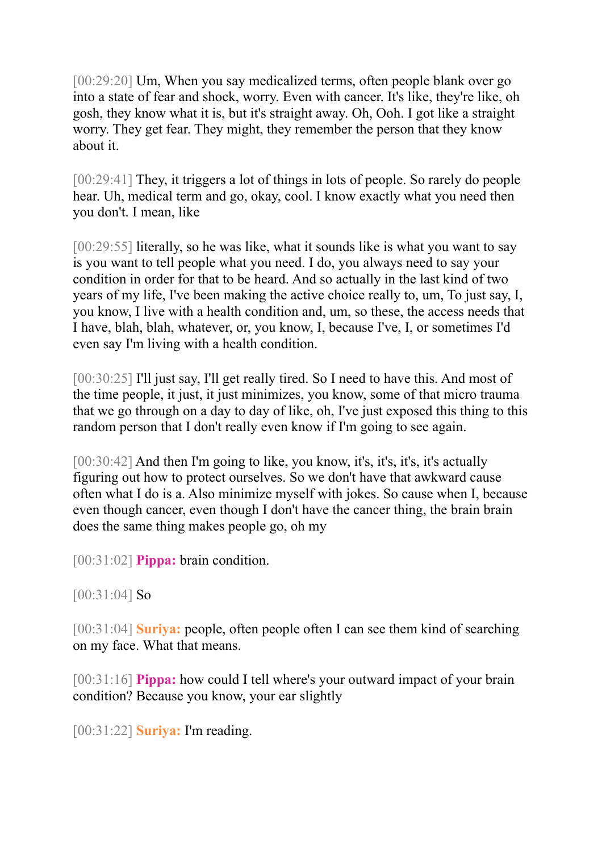[00:29:20] Um, When you say medicalized terms, often people blank over go into a state of fear and shock, worry. Even with cancer. It's like, they're like, oh gosh, they know what it is, but it's straight away. Oh, Ooh. I got like a straight worry. They get fear. They might, they remember the person that they know about it.

[00:29:41] They, it triggers a lot of things in lots of people. So rarely do people hear. Uh, medical term and go, okay, cool. I know exactly what you need then you don't. I mean, like

[00:29:55] literally, so he was like, what it sounds like is what you want to say is you want to tell people what you need. I do, you always need to say your condition in order for that to be heard. And so actually in the last kind of two years of my life, I've been making the active choice really to, um, To just say, I, you know, I live with a health condition and, um, so these, the access needs that I have, blah, blah, whatever, or, you know, I, because I've, I, or sometimes I'd even say I'm living with a health condition.

[00:30:25] I'll just say, I'll get really tired. So I need to have this. And most of the time people, it just, it just minimizes, you know, some of that micro trauma that we go through on a day to day of like, oh, I've just exposed this thing to this random person that I don't really even know if I'm going to see again.

[00:30:42] And then I'm going to like, you know, it's, it's, it's, it's actually figuring out how to protect ourselves. So we don't have that awkward cause often what I do is a. Also minimize myself with jokes. So cause when I, because even though cancer, even though I don't have the cancer thing, the brain brain does the same thing makes people go, oh my

[00:31:02] **Pippa:** brain condition.

[00:31:04] So

[00:31:04] **Suriya:** people, often people often I can see them kind of searching on my face. What that means.

[00:31:16] **Pippa:** how could I tell where's your outward impact of your brain condition? Because you know, your ear slightly

[00:31:22] **Suriya:** I'm reading.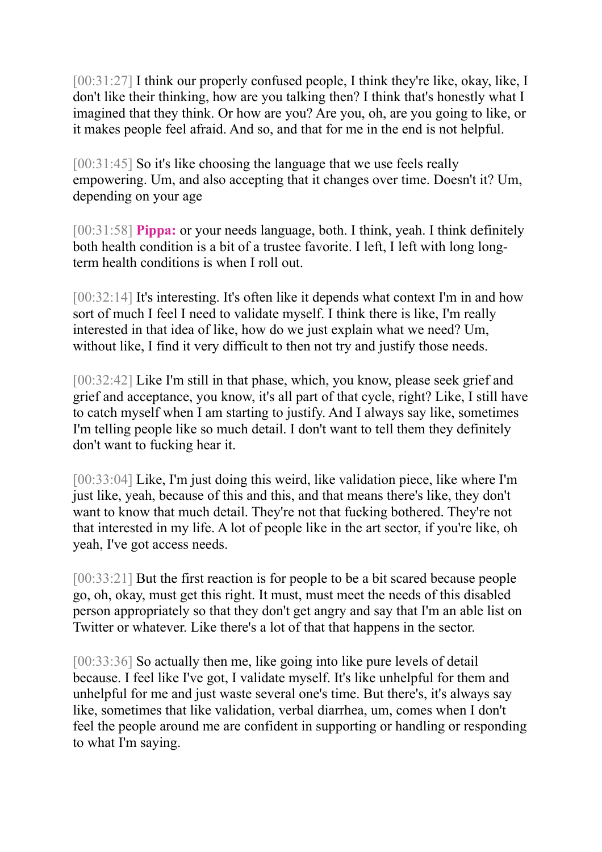[00:31:27] I think our properly confused people, I think they're like, okay, like, I don't like their thinking, how are you talking then? I think that's honestly what I imagined that they think. Or how are you? Are you, oh, are you going to like, or it makes people feel afraid. And so, and that for me in the end is not helpful.

[00:31:45] So it's like choosing the language that we use feels really empowering. Um, and also accepting that it changes over time. Doesn't it? Um, depending on your age

[00:31:58] **Pippa:** or your needs language, both. I think, yeah. I think definitely both health condition is a bit of a trustee favorite. I left, I left with long longterm health conditions is when I roll out.

[00:32:14] It's interesting. It's often like it depends what context I'm in and how sort of much I feel I need to validate myself. I think there is like, I'm really interested in that idea of like, how do we just explain what we need? Um, without like, I find it very difficult to then not try and justify those needs.

[00:32:42] Like I'm still in that phase, which, you know, please seek grief and grief and acceptance, you know, it's all part of that cycle, right? Like, I still have to catch myself when I am starting to justify. And I always say like, sometimes I'm telling people like so much detail. I don't want to tell them they definitely don't want to fucking hear it.

[00:33:04] Like, I'm just doing this weird, like validation piece, like where I'm just like, yeah, because of this and this, and that means there's like, they don't want to know that much detail. They're not that fucking bothered. They're not that interested in my life. A lot of people like in the art sector, if you're like, oh yeah, I've got access needs.

[00:33:21] But the first reaction is for people to be a bit scared because people go, oh, okay, must get this right. It must, must meet the needs of this disabled person appropriately so that they don't get angry and say that I'm an able list on Twitter or whatever. Like there's a lot of that that happens in the sector.

[00:33:36] So actually then me, like going into like pure levels of detail because. I feel like I've got, I validate myself. It's like unhelpful for them and unhelpful for me and just waste several one's time. But there's, it's always say like, sometimes that like validation, verbal diarrhea, um, comes when I don't feel the people around me are confident in supporting or handling or responding to what I'm saying.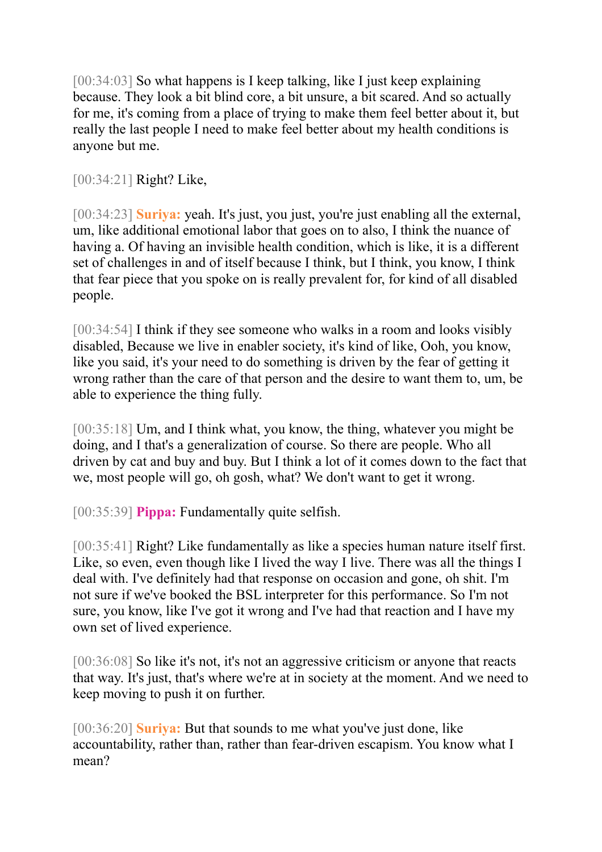[00:34:03] So what happens is I keep talking, like I just keep explaining because. They look a bit blind core, a bit unsure, a bit scared. And so actually for me, it's coming from a place of trying to make them feel better about it, but really the last people I need to make feel better about my health conditions is anyone but me.

[00:34:21] Right? Like,

[00:34:23] **Suriya:** yeah. It's just, you just, you're just enabling all the external, um, like additional emotional labor that goes on to also, I think the nuance of having a. Of having an invisible health condition, which is like, it is a different set of challenges in and of itself because I think, but I think, you know, I think that fear piece that you spoke on is really prevalent for, for kind of all disabled people.

[00:34:54] I think if they see someone who walks in a room and looks visibly disabled, Because we live in enabler society, it's kind of like, Ooh, you know, like you said, it's your need to do something is driven by the fear of getting it wrong rather than the care of that person and the desire to want them to, um, be able to experience the thing fully.

[00:35:18] Um, and I think what, you know, the thing, whatever you might be doing, and I that's a generalization of course. So there are people. Who all driven by cat and buy and buy. But I think a lot of it comes down to the fact that we, most people will go, oh gosh, what? We don't want to get it wrong.

[00:35:39] **Pippa:** Fundamentally quite selfish.

[00:35:41] Right? Like fundamentally as like a species human nature itself first. Like, so even, even though like I lived the way I live. There was all the things I deal with. I've definitely had that response on occasion and gone, oh shit. I'm not sure if we've booked the BSL interpreter for this performance. So I'm not sure, you know, like I've got it wrong and I've had that reaction and I have my own set of lived experience.

[00:36:08] So like it's not, it's not an aggressive criticism or anyone that reacts that way. It's just, that's where we're at in society at the moment. And we need to keep moving to push it on further.

[00:36:20] **Suriya:** But that sounds to me what you've just done, like accountability, rather than, rather than fear-driven escapism. You know what I mean?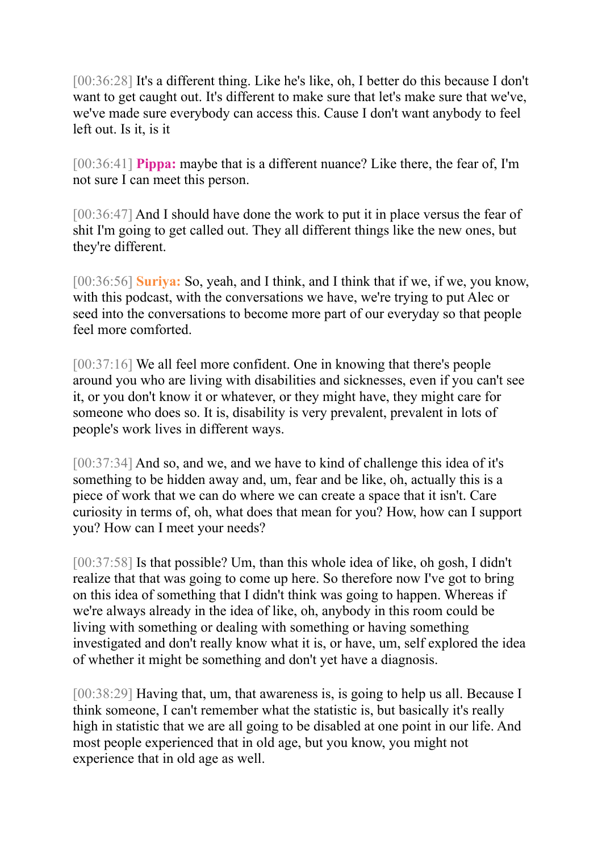[00:36:28] It's a different thing. Like he's like, oh, I better do this because I don't want to get caught out. It's different to make sure that let's make sure that we've, we've made sure everybody can access this. Cause I don't want anybody to feel left out. Is it, is it

[00:36:41] **Pippa:** maybe that is a different nuance? Like there, the fear of, I'm not sure I can meet this person.

[00:36:47] And I should have done the work to put it in place versus the fear of shit I'm going to get called out. They all different things like the new ones, but they're different.

[00:36:56] **Suriya:** So, yeah, and I think, and I think that if we, if we, you know, with this podcast, with the conversations we have, we're trying to put Alec or seed into the conversations to become more part of our everyday so that people feel more comforted.

[00:37:16] We all feel more confident. One in knowing that there's people around you who are living with disabilities and sicknesses, even if you can't see it, or you don't know it or whatever, or they might have, they might care for someone who does so. It is, disability is very prevalent, prevalent in lots of people's work lives in different ways.

[00:37:34] And so, and we, and we have to kind of challenge this idea of it's something to be hidden away and, um, fear and be like, oh, actually this is a piece of work that we can do where we can create a space that it isn't. Care curiosity in terms of, oh, what does that mean for you? How, how can I support you? How can I meet your needs?

[00:37:58] Is that possible? Um, than this whole idea of like, oh gosh, I didn't realize that that was going to come up here. So therefore now I've got to bring on this idea of something that I didn't think was going to happen. Whereas if we're always already in the idea of like, oh, anybody in this room could be living with something or dealing with something or having something investigated and don't really know what it is, or have, um, self explored the idea of whether it might be something and don't yet have a diagnosis.

[00:38:29] Having that, um, that awareness is, is going to help us all. Because I think someone, I can't remember what the statistic is, but basically it's really high in statistic that we are all going to be disabled at one point in our life. And most people experienced that in old age, but you know, you might not experience that in old age as well.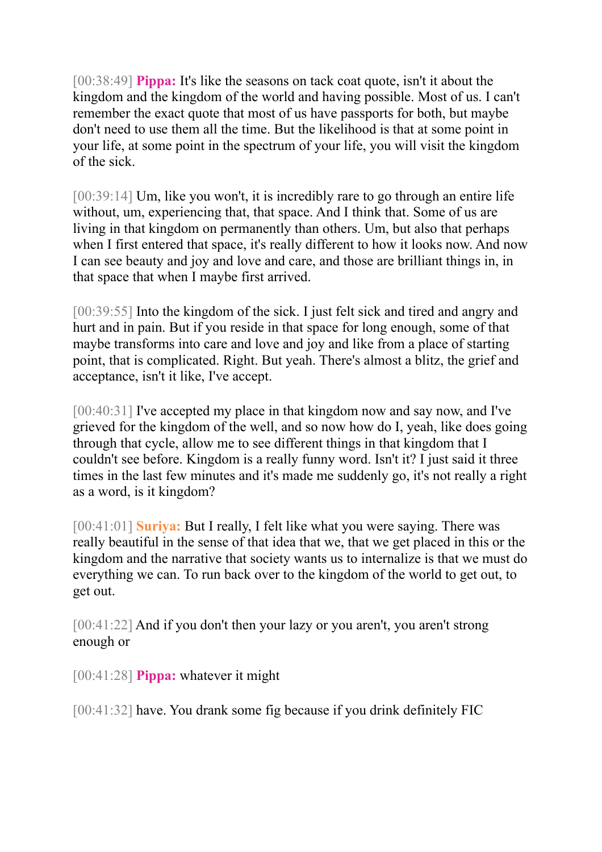[00:38:49] **Pippa:** It's like the seasons on tack coat quote, isn't it about the kingdom and the kingdom of the world and having possible. Most of us. I can't remember the exact quote that most of us have passports for both, but maybe don't need to use them all the time. But the likelihood is that at some point in your life, at some point in the spectrum of your life, you will visit the kingdom of the sick.

[00:39:14] Um, like you won't, it is incredibly rare to go through an entire life without, um, experiencing that, that space. And I think that. Some of us are living in that kingdom on permanently than others. Um, but also that perhaps when I first entered that space, it's really different to how it looks now. And now I can see beauty and joy and love and care, and those are brilliant things in, in that space that when I maybe first arrived.

[00:39:55] Into the kingdom of the sick. I just felt sick and tired and angry and hurt and in pain. But if you reside in that space for long enough, some of that maybe transforms into care and love and joy and like from a place of starting point, that is complicated. Right. But yeah. There's almost a blitz, the grief and acceptance, isn't it like, I've accept.

[00:40:31] I've accepted my place in that kingdom now and say now, and I've grieved for the kingdom of the well, and so now how do I, yeah, like does going through that cycle, allow me to see different things in that kingdom that I couldn't see before. Kingdom is a really funny word. Isn't it? I just said it three times in the last few minutes and it's made me suddenly go, it's not really a right as a word, is it kingdom?

[00:41:01] **Suriya:** But I really, I felt like what you were saying. There was really beautiful in the sense of that idea that we, that we get placed in this or the kingdom and the narrative that society wants us to internalize is that we must do everything we can. To run back over to the kingdom of the world to get out, to get out.

[00:41:22] And if you don't then your lazy or you aren't, you aren't strong enough or

[00:41:28] **Pippa:** whatever it might

[00:41:32] have. You drank some fig because if you drink definitely FIC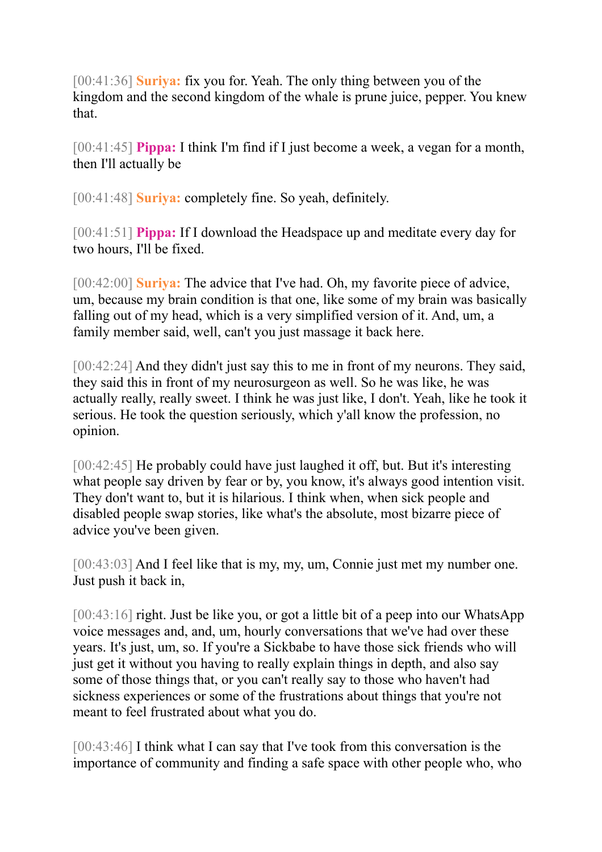[00:41:36] **Suriya:** fix you for. Yeah. The only thing between you of the kingdom and the second kingdom of the whale is prune juice, pepper. You knew that.

[00:41:45] **Pippa:** I think I'm find if I just become a week, a vegan for a month, then I'll actually be

[00:41:48] **Suriya:** completely fine. So yeah, definitely.

[00:41:51] **Pippa:** If I download the Headspace up and meditate every day for two hours, I'll be fixed.

[00:42:00] **Suriya:** The advice that I've had. Oh, my favorite piece of advice, um, because my brain condition is that one, like some of my brain was basically falling out of my head, which is a very simplified version of it. And, um, a family member said, well, can't you just massage it back here.

[00:42:24] And they didn't just say this to me in front of my neurons. They said, they said this in front of my neurosurgeon as well. So he was like, he was actually really, really sweet. I think he was just like, I don't. Yeah, like he took it serious. He took the question seriously, which y'all know the profession, no opinion.

[00:42:45] He probably could have just laughed it off, but. But it's interesting what people say driven by fear or by, you know, it's always good intention visit. They don't want to, but it is hilarious. I think when, when sick people and disabled people swap stories, like what's the absolute, most bizarre piece of advice you've been given.

[00:43:03] And I feel like that is my, my, um, Connie just met my number one. Just push it back in,

[00:43:16] right. Just be like you, or got a little bit of a peep into our WhatsApp voice messages and, and, um, hourly conversations that we've had over these years. It's just, um, so. If you're a Sickbabe to have those sick friends who will just get it without you having to really explain things in depth, and also say some of those things that, or you can't really say to those who haven't had sickness experiences or some of the frustrations about things that you're not meant to feel frustrated about what you do.

[00:43:46] I think what I can say that I've took from this conversation is the importance of community and finding a safe space with other people who, who